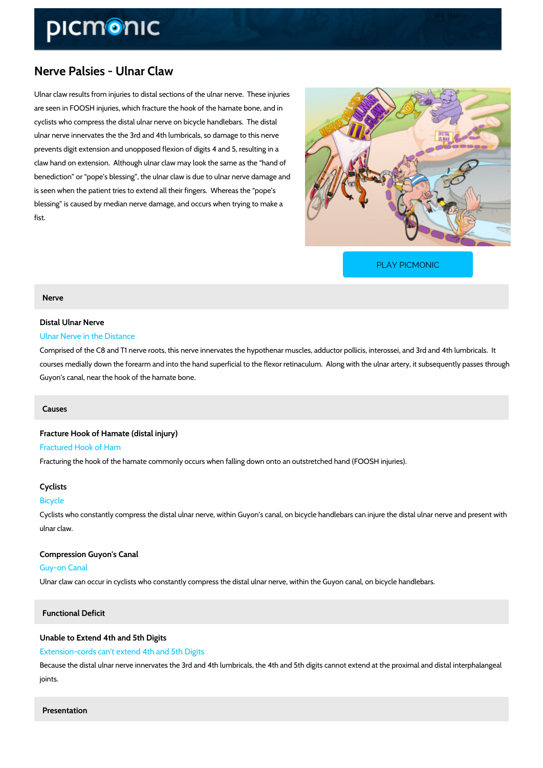# Nerve Palsies - Ulnar Claw

Ulnar claw results from injuries to distal sections of the ulnar nerve. These injuries are seen in FOOSH injuries, which fracture the hook of the hamate bone, and in cyclists who compress the distal ulnar nerve on bicycle handlebars. The distal ulnar nerve innervates the the 3rd and 4th lumbricals, so damage to this nerve prevents digit extension and unopposed flexion of digits 4 and 5, resulting in a claw hand on extension. Although ulnar claw may look the same as the hand of benediction or pope s blessing , the ulnar claw is due to ulnar nerve damage and is seen when the patient tries to extend all their fingers. Whereas the pope s blessing is caused by median nerve damage, and occurs when trying to make a fist.

[PLAY PICMONIC](https://www.picmonic.com/learn/nerve-palsies-ulnar-claw_2422?utm_source=downloadable_content&utm_medium=distributedcontent&utm_campaign=pathways_pdf&utm_content=Nerve Palsies - Ulnar Claw&utm_ad_group=leads&utm_market=all)

#### Nerve

# Distal Ulnar Nerve

# Ulnar Nerve in the Distance

Comprised of the C8 and T1 nerve roots, this nerve innervates the hypothenar muscles, adduc courses medially down the forearm and into the hand superficial to the flexor retinaculum. Al Guyon s canal, near the hook of the hamate bone.

#### Causes

Fracture Hook of Hamate (distal injury) Fractured Hook of Ham Fracturing the hook of the hamate commonly occurs when falling down onto an outstretched ha

#### Cyclists

#### Bicycle

Cyclists who constantly compress the distal ulnar nerve, within Guyon s canal, on bicycle han ulnar claw.

Compression Guyon's Canal Guy-on Canal Ulnar claw can occur in cyclists who constantly compress the distal ulnar nerve, within the Gu

### Functional Deficit

## Unable to Extend 4th and 5th Digits Extension-cords can't extend 4th and 5th Digits

Because the distal ulnar nerve innervates the 3rd and 4th lumbricals, the 4th and 5th digits c joints.

### Presentation